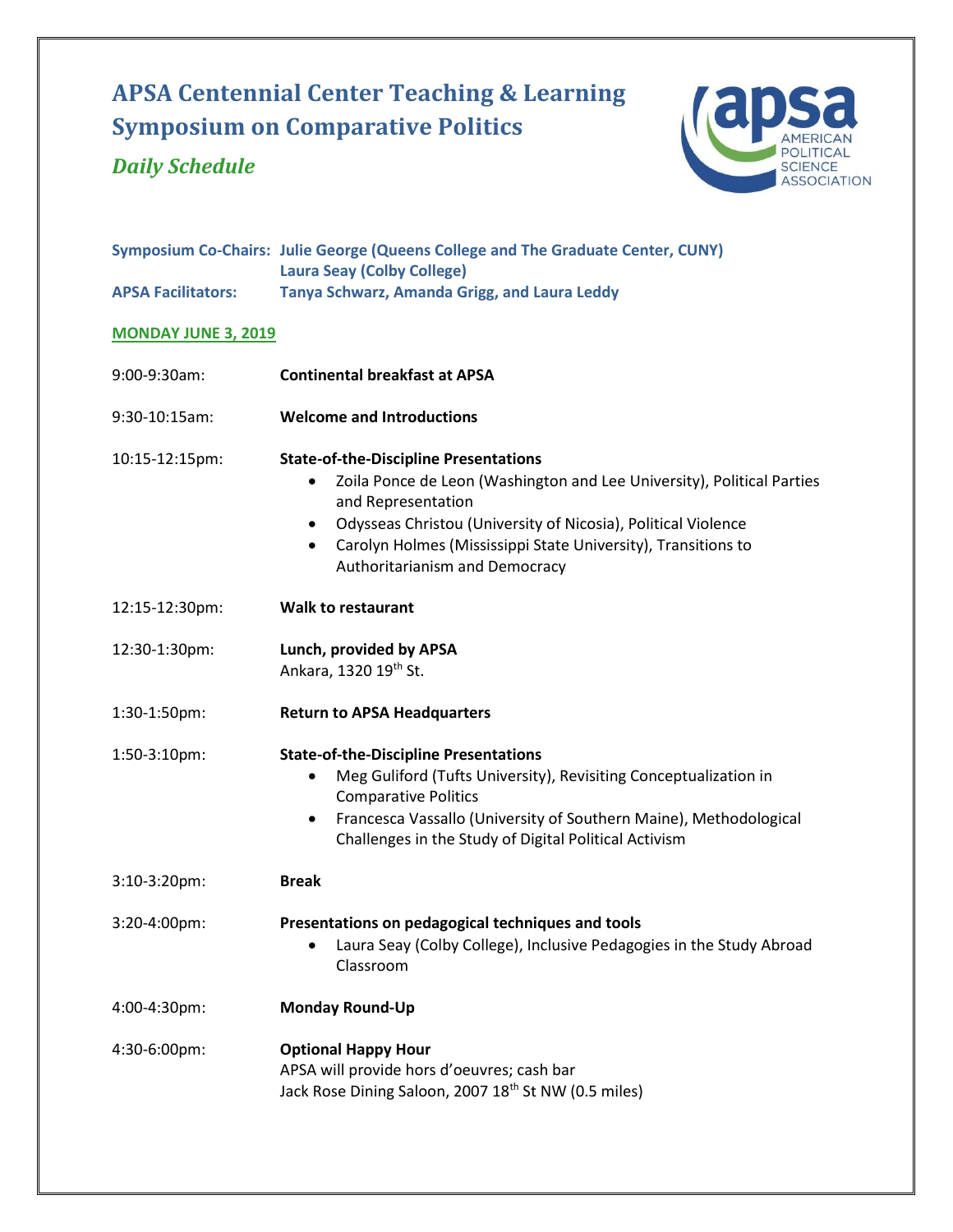# **APSA Centennial Center Teaching & Learning Symposium on Comparative Politics**

## *Daily Schedule*



|                            | Symposium Co-Chairs: Julie George (Queens College and The Graduate Center, CUNY)<br><b>Laura Seay (Colby College)</b>                                                                                                                                                                                                                                   |
|----------------------------|---------------------------------------------------------------------------------------------------------------------------------------------------------------------------------------------------------------------------------------------------------------------------------------------------------------------------------------------------------|
| <b>APSA Facilitators:</b>  | Tanya Schwarz, Amanda Grigg, and Laura Leddy                                                                                                                                                                                                                                                                                                            |
| <b>MONDAY JUNE 3, 2019</b> |                                                                                                                                                                                                                                                                                                                                                         |
| 9:00-9:30am:               | <b>Continental breakfast at APSA</b>                                                                                                                                                                                                                                                                                                                    |
| 9:30-10:15am:              | <b>Welcome and Introductions</b>                                                                                                                                                                                                                                                                                                                        |
| 10:15-12:15pm:             | <b>State-of-the-Discipline Presentations</b><br>Zoila Ponce de Leon (Washington and Lee University), Political Parties<br>$\bullet$<br>and Representation<br>Odysseas Christou (University of Nicosia), Political Violence<br>$\bullet$<br>Carolyn Holmes (Mississippi State University), Transitions to<br>$\bullet$<br>Authoritarianism and Democracy |
| 12:15-12:30pm:             | <b>Walk to restaurant</b>                                                                                                                                                                                                                                                                                                                               |
| 12:30-1:30pm:              | Lunch, provided by APSA<br>Ankara, 1320 19th St.                                                                                                                                                                                                                                                                                                        |
| 1:30-1:50pm:               | <b>Return to APSA Headquarters</b>                                                                                                                                                                                                                                                                                                                      |
| 1:50-3:10pm:               | <b>State-of-the-Discipline Presentations</b><br>Meg Guliford (Tufts University), Revisiting Conceptualization in<br>$\bullet$<br><b>Comparative Politics</b><br>Francesca Vassallo (University of Southern Maine), Methodological<br>$\bullet$<br>Challenges in the Study of Digital Political Activism                                                 |
| 3:10-3:20pm:               | <b>Break</b>                                                                                                                                                                                                                                                                                                                                            |
| 3:20-4:00pm:               | Presentations on pedagogical techniques and tools                                                                                                                                                                                                                                                                                                       |

- Laura Seay (Colby College), Inclusive Pedagogies in the Study Abroad Classroom
- 4:00-4:30pm: **Monday Round-Up**

4:30-6:00pm: **Optional Happy Hour** APSA will provide hors d'oeuvres; cash bar Jack Rose Dining Saloon, 2007 18<sup>th</sup> St NW (0.5 miles)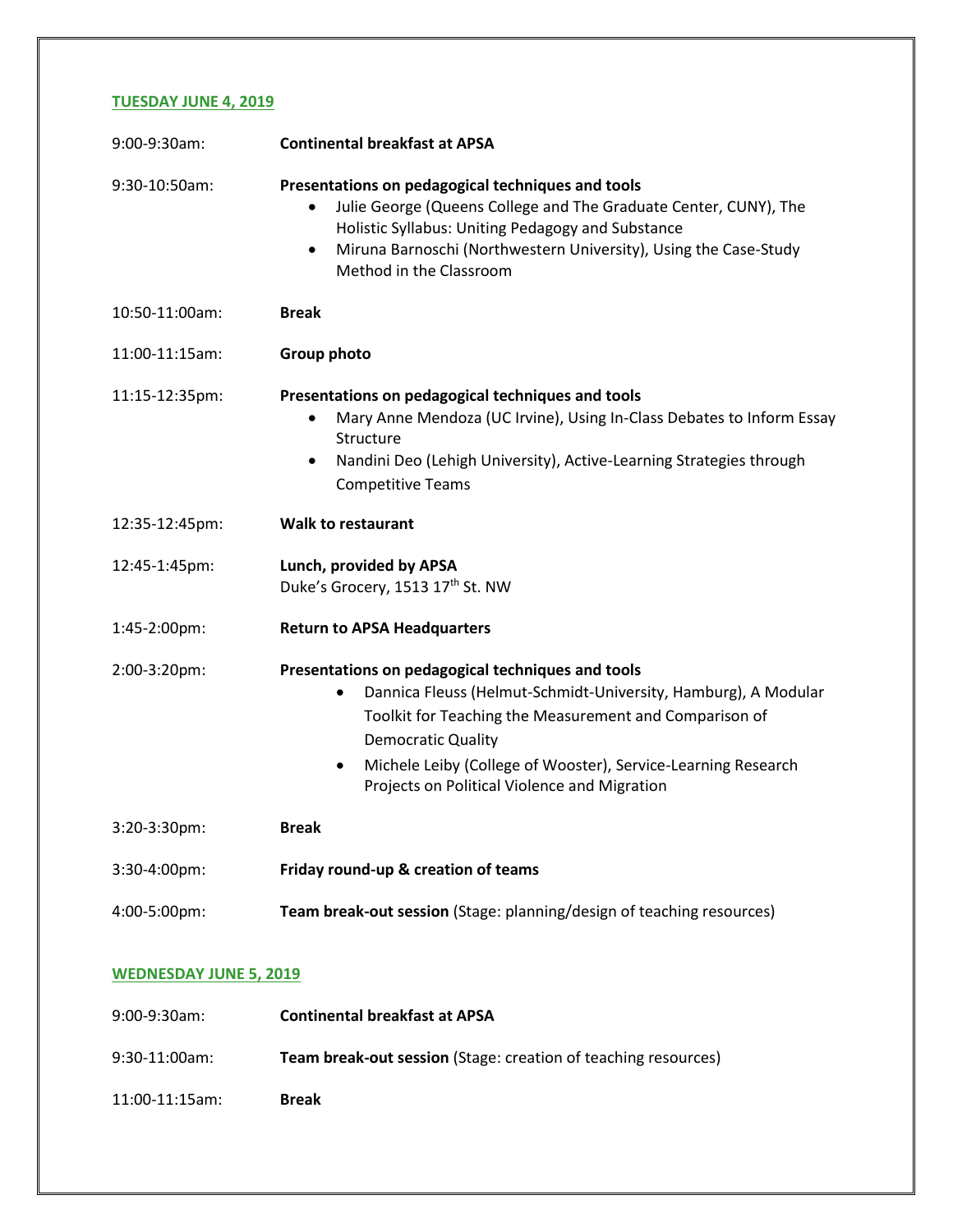#### **TUESDAY JUNE 4, 2019**

| 9:00-9:30am:   | <b>Continental breakfast at APSA</b>                                                                                                                                                                                                                                                                                                  |
|----------------|---------------------------------------------------------------------------------------------------------------------------------------------------------------------------------------------------------------------------------------------------------------------------------------------------------------------------------------|
| 9:30-10:50am:  | Presentations on pedagogical techniques and tools<br>Julie George (Queens College and The Graduate Center, CUNY), The<br>$\bullet$<br>Holistic Syllabus: Uniting Pedagogy and Substance<br>Miruna Barnoschi (Northwestern University), Using the Case-Study<br>$\bullet$<br>Method in the Classroom                                   |
| 10:50-11:00am: | <b>Break</b>                                                                                                                                                                                                                                                                                                                          |
| 11:00-11:15am: | Group photo                                                                                                                                                                                                                                                                                                                           |
| 11:15-12:35pm: | Presentations on pedagogical techniques and tools<br>Mary Anne Mendoza (UC Irvine), Using In-Class Debates to Inform Essay<br>Structure<br>Nandini Deo (Lehigh University), Active-Learning Strategies through<br>$\bullet$<br><b>Competitive Teams</b>                                                                               |
| 12:35-12:45pm: | <b>Walk to restaurant</b>                                                                                                                                                                                                                                                                                                             |
| 12:45-1:45pm:  | Lunch, provided by APSA<br>Duke's Grocery, 1513 17th St. NW                                                                                                                                                                                                                                                                           |
| 1:45-2:00pm:   | <b>Return to APSA Headquarters</b>                                                                                                                                                                                                                                                                                                    |
| 2:00-3:20pm:   | Presentations on pedagogical techniques and tools<br>Dannica Fleuss (Helmut-Schmidt-University, Hamburg), A Modular<br>٠<br>Toolkit for Teaching the Measurement and Comparison of<br><b>Democratic Quality</b><br>Michele Leiby (College of Wooster), Service-Learning Research<br>٠<br>Projects on Political Violence and Migration |
| 3:20-3:30pm:   | <b>Break</b>                                                                                                                                                                                                                                                                                                                          |
| 3:30-4:00pm:   | Friday round-up & creation of teams                                                                                                                                                                                                                                                                                                   |
| 4:00-5:00pm:   | Team break-out session (Stage: planning/design of teaching resources)                                                                                                                                                                                                                                                                 |
|                |                                                                                                                                                                                                                                                                                                                                       |

#### **WEDNESDAY JUNE 5, 2019**

| 9:00-9:30am:        | <b>Continental breakfast at APSA</b>                                  |
|---------------------|-----------------------------------------------------------------------|
| 9:30-11:00am:       | <b>Team break-out session</b> (Stage: creation of teaching resources) |
| $11:00 - 11:15$ am: | <b>Break</b>                                                          |